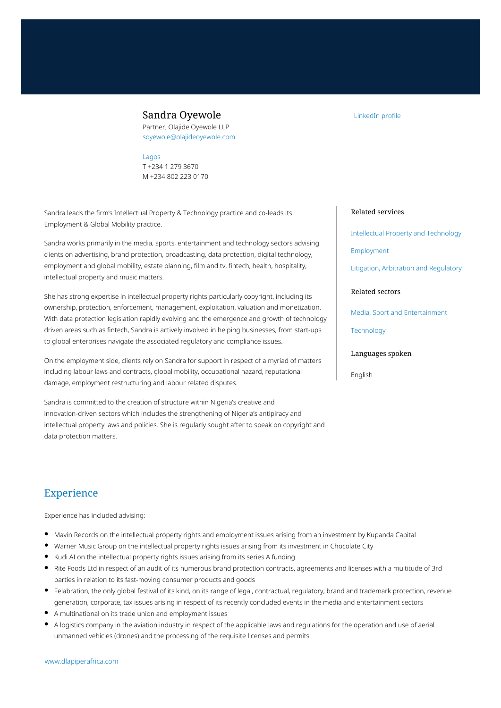## Sandra Oyewole

Partner, Olajide Oyewole LLP soyewole@olajideoyewole.com

#### [Lagos](https://www.dlapiperafrica.com/nigeria/locations/lagos.html)

T +234 1 279 3670 M +234 802 223 0170

Sandra leads the firm's Intellectual Property & Technology practice and co-leads its Employment & Global Mobility practice.

Sandra works primarily in the media, sports, entertainment and technology sectors advising clients on advertising, brand protection, broadcasting, data protection, digital technology, employment and global mobility, estate planning, film and tv, fintech, health, hospitality, intellectual property and music matters.

She has strong expertise in intellectual property rights particularly copyright, including its ownership, protection, enforcement, management, exploitation, valuation and monetization. With data protection legislation rapidly evolving and the emergence and growth of technology driven areas such as fintech, Sandra is actively involved in helping businesses, from start-ups to global enterprises navigate the associated regulatory and compliance issues.

On the employment side, clients rely on Sandra for support in respect of a myriad of matters including labour laws and contracts, global mobility, occupational hazard, reputational damage, employment restructuring and labour related disputes.

Sandra is committed to the creation of structure within Nigeria's creative and innovation-driven sectors which includes the strengthening of Nigeria's antipiracy and intellectual property laws and policies. She is regularly sought after to speak on copyright and data protection matters.

### [LinkedIn profile](https://www.linkedin.com/in/sandra-oyewole-303bb3142/)

#### Related services

[Intellectual Property and Technology](https://www.dlapiperafrica.com/en/nigeria/services/intellectual-property-and-technology.html)

[Employment](https://www.dlapiperafrica.com/en/nigeria/services/employment.html)

[Litigation, Arbitration and Regulatory](https://www.dlapiperafrica.com/en/nigeria/services/litigation-and-regulatory.html)

### Related sectors

[Media, Sport and Entertainment](https://www.dlapiperafrica.com/en/nigeria/sectors/media-sport-entertainment.html)

**[Technology](https://www.dlapiperafrica.com/en/nigeria/sectors/technology.html)** 

#### Languages spoken

English

## Experience

Experience has included advising:

- Mavin Records on the intellectual property rights and employment issues arising from an investment by Kupanda Capital
- Warner Music Group on the intellectual property rights issues arising from its investment in Chocolate City
- Kudi AI on the intellectual property rights issues arising from its series A funding
- Rite Foods Ltd in respect of an audit of its numerous brand protection contracts, agreements and licenses with a multitude of 3rd parties in relation to its fast-moving consumer products and goods
- Felabration, the only global festival of its kind, on its range of legal, contractual, regulatory, brand and trademark protection, revenue generation, corporate, tax issues arising in respect of its recently concluded events in the media and entertainment sectors
- A multinational on its trade union and employment issues
- A logistics company in the aviation industry in respect of the applicable laws and regulations for the operation and use of aerial unmanned vehicles (drones) and the processing of the requisite licenses and permits